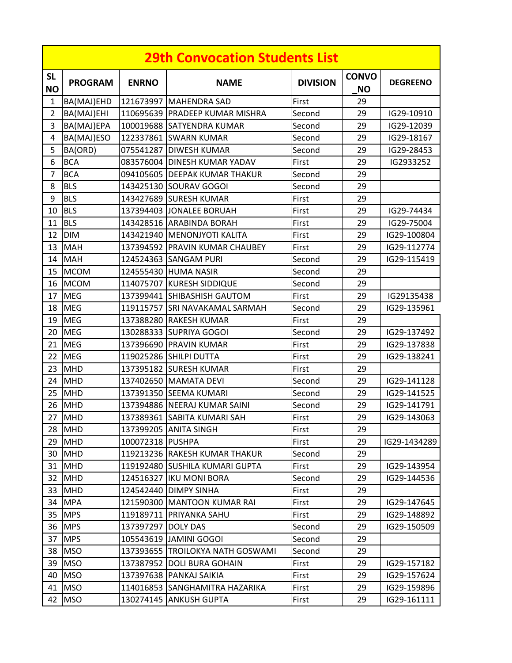| <b>29th Convocation Students List</b> |                |                    |                                  |                 |                           |                 |  |
|---------------------------------------|----------------|--------------------|----------------------------------|-----------------|---------------------------|-----------------|--|
| <b>SL</b><br><b>NO</b>                | <b>PROGRAM</b> | <b>ENRNO</b>       | <b>NAME</b>                      | <b>DIVISION</b> | <b>CONVO</b><br><b>NO</b> | <b>DEGREENO</b> |  |
| $\mathbf{1}$                          | BA(MAJ)EHD     |                    | 121673997 MAHENDRA SAD           | First           | 29                        |                 |  |
| $\overline{2}$                        | BA(MAJ)EHI     |                    | 110695639 PRADEEP KUMAR MISHRA   | Second          | 29                        | IG29-10910      |  |
| 3                                     | BA(MAJ)EPA     |                    | 100019688 SATYENDRA KUMAR        | Second          | 29                        | IG29-12039      |  |
| 4                                     | BA(MAJ)ESO     |                    | 122337861 SWARN KUMAR            | Second          | 29                        | IG29-18167      |  |
| 5                                     | BA(ORD)        |                    | 075541287 DIWESH KUMAR           | Second          | 29                        | IG29-28453      |  |
| 6                                     | <b>BCA</b>     |                    | 083576004 DINESH KUMAR YADAV     | First           | 29                        | IG2933252       |  |
| 7                                     | <b>BCA</b>     |                    | 094105605 DEEPAK KUMAR THAKUR    | Second          | 29                        |                 |  |
| 8                                     | <b>BLS</b>     |                    | 143425130 SOURAV GOGOI           | Second          | 29                        |                 |  |
| 9                                     | <b>BLS</b>     |                    | 143427689 SURESH KUMAR           | First           | 29                        |                 |  |
| 10                                    | <b>BLS</b>     |                    | 137394403 JONALEE BORUAH         | First           | 29                        | IG29-74434      |  |
| 11                                    | <b>BLS</b>     |                    | 143428516 ARABINDA BORAH         | First           | 29                        | IG29-75004      |  |
| 12                                    | <b>DIM</b>     |                    | 143421940   MENONJYOTI KALITA    | First           | 29                        | IG29-100804     |  |
| 13                                    | <b>MAH</b>     |                    | 137394592 PRAVIN KUMAR CHAUBEY   | First           | 29                        | IG29-112774     |  |
| 14                                    | <b>MAH</b>     |                    | 124524363 SANGAM PURI            | Second          | 29                        | IG29-115419     |  |
| 15                                    | <b>MCOM</b>    |                    | 124555430 HUMA NASIR             | Second          | 29                        |                 |  |
| 16                                    | <b>MCOM</b>    |                    | 114075707 KURESH SIDDIQUE        | Second          | 29                        |                 |  |
| 17                                    | <b>MEG</b>     |                    | 137399441 SHIBASHISH GAUTOM      | First           | 29                        | IG29135438      |  |
| 18                                    | <b>MEG</b>     |                    | 119115757 SRI NAVAKAMAL SARMAH   | Second          | 29                        | IG29-135961     |  |
| 19                                    | <b>MEG</b>     |                    | 137388280 RAKESH KUMAR           | First           | 29                        |                 |  |
| 20                                    | <b>MEG</b>     |                    | 130288333 SUPRIYA GOGOI          | Second          | 29                        | IG29-137492     |  |
| 21                                    | <b>MEG</b>     |                    | 137396690 PRAVIN KUMAR           | First           | 29                        | IG29-137838     |  |
| 22                                    | <b>MEG</b>     |                    | 119025286 SHILPI DUTTA           | First           | 29                        | IG29-138241     |  |
| 23                                    | MHD            |                    | 137395182 SURESH KUMAR           | First           | 29                        |                 |  |
| 24                                    | <b>MHD</b>     |                    | 137402650 MAMATA DEVI            | Second          | 29                        | IG29-141128     |  |
| 25                                    | <b>MHD</b>     |                    | 137391350 SEEMA KUMARI           | Second          | 29                        | IG29-141525     |  |
| 26                                    | <b>MHD</b>     |                    | 137394886 NEERAJ KUMAR SAINI     | Second          | 29                        | IG29-141791     |  |
|                                       | 27 MHD         |                    | 137389361 SABITA KUMARI SAH      | First           | 29                        | IG29-143063     |  |
| 28                                    | <b>MHD</b>     |                    | 137399205 ANITA SINGH            | First           | 29                        |                 |  |
| 29                                    | MHD            | 100072318 PUSHPA   |                                  | First           | 29                        | IG29-1434289    |  |
|                                       | 30 MHD         |                    | 119213236 RAKESH KUMAR THAKUR    | Second          | 29                        |                 |  |
| 31                                    | <b>MHD</b>     |                    | 119192480 SUSHILA KUMARI GUPTA   | First           | 29                        | IG29-143954     |  |
|                                       | 32 MHD         |                    | 124516327   IKU MONI BORA        | Second          | 29                        | IG29-144536     |  |
| 33                                    | <b>MHD</b>     |                    | 124542440 DIMPY SINHA            | First           | 29                        |                 |  |
|                                       | 34 MPA         |                    | 121590300 MANTOON KUMAR RAI      | First           | 29                        | IG29-147645     |  |
| 35                                    | <b>MPS</b>     |                    | 119189711 PRIYANKA SAHU          | First           | 29                        | IG29-148892     |  |
|                                       | 36 MPS         | 137397297 DOLY DAS |                                  | Second          | 29                        | IG29-150509     |  |
| 37                                    | <b>MPS</b>     |                    | 105543619 JAMINI GOGOI           | Second          | 29                        |                 |  |
| 38                                    | <b>MSO</b>     |                    | 137393655 TROILOKYA NATH GOSWAMI | Second          | 29                        |                 |  |
| 39                                    | <b>MSO</b>     | 137387952          | <b>DOLI BURA GOHAIN</b>          | First           | 29                        | IG29-157182     |  |
| 40                                    | <b>MSO</b>     |                    | 137397638 PANKAJ SAIKIA          | First           | 29                        | IG29-157624     |  |
| 41                                    | <b>MSO</b>     |                    | 114016853 SANGHAMITRA HAZARIKA   | First           | 29                        | IG29-159896     |  |
|                                       | 42 MSO         |                    | 130274145 ANKUSH GUPTA           | First           | 29                        | IG29-161111     |  |
|                                       |                |                    |                                  |                 |                           |                 |  |